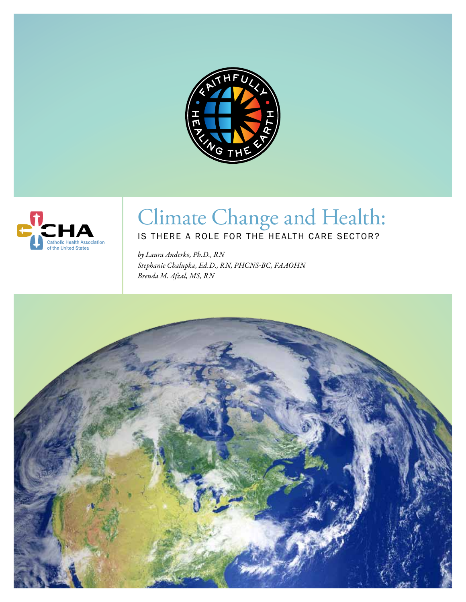



# Climate Change and Health: IS THERE A ROLE FOR THE HEALTH CARE SECTOR?

*by Laura Anderko, Ph.D., RN Stephanie Chalupka, Ed.D., RN, PHCNS-BC, FAAOHN Brenda M. Afzal, MS, RN*

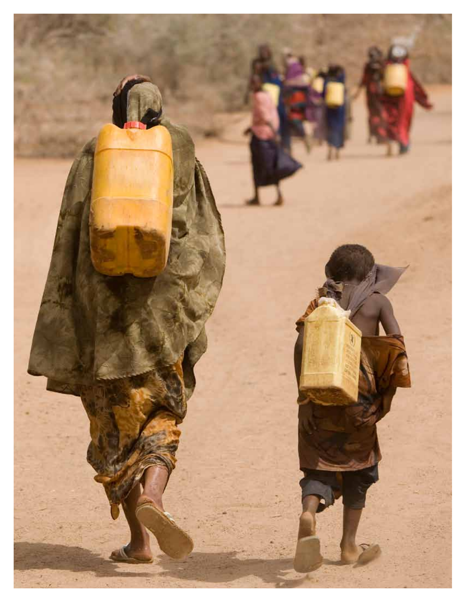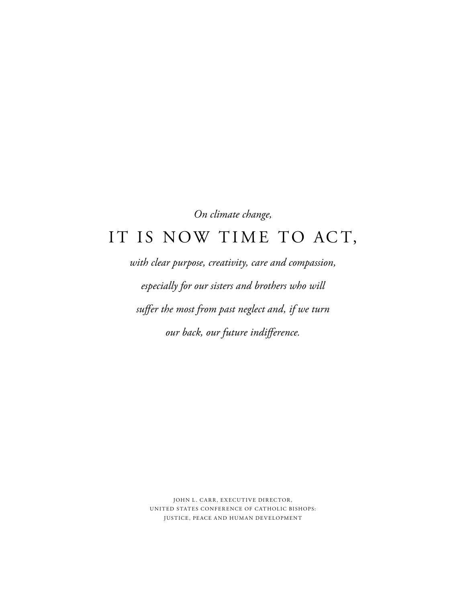*On climate change,*

# IT IS NOW TIME TO ACT,

*with clear purpose, creativity, care and compassion, especially for our sisters and brothers who will suffer the most from past neglect and, if we turn our back, our future indifference.*

JOHN L. CARR, EXECUTIVE DIRECTOR, UNITED STATES CONFERENCE OF CATHOLIC BISHOPS: JUSTICE, PEACE AND HUMAN DEVELOPMENT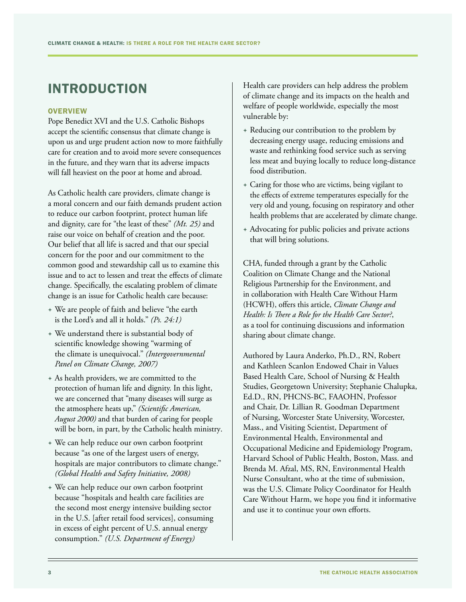# INTRODUCTION

### **OVERVIEW**

Pope Benedict XVI and the U.S. Catholic Bishops accept the scientific consensus that climate change is upon us and urge prudent action now to more faithfully care for creation and to avoid more severe consequences in the future, and they warn that its adverse impacts will fall heaviest on the poor at home and abroad.

As Catholic health care providers, climate change is a moral concern and our faith demands prudent action to reduce our carbon footprint, protect human life and dignity, care for "the least of these" *(Mt. 25)* and raise our voice on behalf of creation and the poor. Our belief that all life is sacred and that our special concern for the poor and our commitment to the common good and stewardship call us to examine this issue and to act to lessen and treat the effects of climate change. Specifically, the escalating problem of climate change is an issue for Catholic health care because:

- + We are people of faith and believe "the earth is the Lord's and all it holds." *(Ps. 24:1)*
- + We understand there is substantial body of scientific knowledge showing "warming of the climate is unequivocal." *(Intergovernmental Panel on Climate Change, 2007)*
- + As health providers, we are committed to the protection of human life and dignity. In this light, we are concerned that "many diseases will surge as the atmosphere heats up," *(Scientific American, August 2000)* and that burden of caring for people will be born, in part, by the Catholic health ministry.
- + We can help reduce our own carbon footprint because "as one of the largest users of energy, hospitals are major contributors to climate change." *(Global Health and Safety Initiative, 2008)*
- + We can help reduce our own carbon footprint because "hospitals and health care facilities are the second most energy intensive building sector in the U.S. [after retail food services], consuming in excess of eight percent of U.S. annual energy consumption." *(U.S. Department of Energy)*

Health care providers can help address the problem of climate change and its impacts on the health and welfare of people worldwide, especially the most vulnerable by:

- + Reducing our contribution to the problem by decreasing energy usage, reducing emissions and waste and rethinking food service such as serving less meat and buying locally to reduce long-distance food distribution.
- + Caring for those who are victims, being vigilant to the effects of extreme temperatures especially for the very old and young, focusing on respiratory and other health problems that are accelerated by climate change.
- + Advocating for public policies and private actions that will bring solutions.

CHA, funded through a grant by the Catholic Coalition on Climate Change and the National Religious Partnership for the Environment, and in collaboration with Health Care Without Harm (HCWH), offers this article, *Climate Change and Health: Is There a Role for the Health Care Sector?*, as a tool for continuing discussions and information sharing about climate change.

Authored by Laura Anderko, Ph.D., RN, Robert and Kathleen Scanlon Endowed Chair in Values Based Health Care, School of Nursing & Health Studies, Georgetown University; Stephanie Chalupka, Ed.D., RN, PHCNS-BC, FAAOHN, Professor and Chair, Dr. Lillian R. Goodman Department of Nursing, Worcester State University, Worcester, Mass., and Visiting Scientist, Department of Environmental Health, Environmental and Occupational Medicine and Epidemiology Program, Harvard School of Public Health, Boston, Mass. and Brenda M. Afzal, MS, RN, Environmental Health Nurse Consultant, who at the time of submission, was the U.S. Climate Policy Coordinator for Health Care Without Harm, we hope you find it informative and use it to continue your own efforts.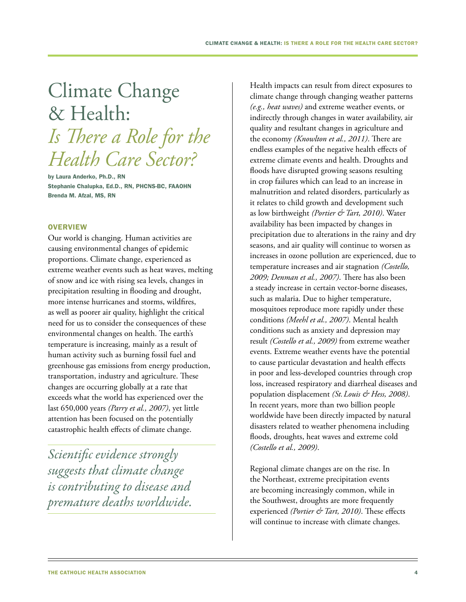# Climate Change & Health: *Is There a Role for the Health Care Sector?*

by Laura Anderko, Ph.D., RN Stephanie Chalupka, Ed.D., RN, PHCNS-BC, FAAOHN Brenda M. Afzal, MS, RN

#### **OVERVIEW**

Our world is changing. Human activities are causing environmental changes of epidemic proportions. Climate change, experienced as extreme weather events such as heat waves, melting of snow and ice with rising sea levels, changes in precipitation resulting in flooding and drought, more intense hurricanes and storms, wildfires, as well as poorer air quality, highlight the critical need for us to consider the consequences of these environmental changes on health. The earth's temperature is increasing, mainly as a result of human activity such as burning fossil fuel and greenhouse gas emissions from energy production, transportation, industry and agriculture. These changes are occurring globally at a rate that exceeds what the world has experienced over the last 650,000 years *(Parry et al., 2007)*, yet little attention has been focused on the potentially catastrophic health effects of climate change.

*Scientific evidence strongly suggests that climate change is contributing to disease and premature deaths worldwide.* Health impacts can result from direct exposures to climate change through changing weather patterns *(e.g., heat waves)* and extreme weather events, or indirectly through changes in water availability, air quality and resultant changes in agriculture and the economy *(Knowlton et al., 2011)*. There are endless examples of the negative health effects of extreme climate events and health. Droughts and floods have disrupted growing seasons resulting in crop failures which can lead to an increase in malnutrition and related disorders, particularly as it relates to child growth and development such as low birthweight *(Portier & Tart, 2010)*. Water availability has been impacted by changes in precipitation due to alterations in the rainy and dry seasons, and air quality will continue to worsen as increases in ozone pollution are experienced, due to temperature increases and air stagnation *(Costello, 2009; Denman et al., 2007)*. There has also been a steady increase in certain vector-borne diseases, such as malaria. Due to higher temperature, mosquitoes reproduce more rapidly under these conditions *(Meehl et al., 2007)*. Mental health conditions such as anxiety and depression may result *(Costello et al., 2009)* from extreme weather events. Extreme weather events have the potential to cause particular devastation and health effects in poor and less-developed countries through crop loss, increased respiratory and diarrheal diseases and population displacement *(St.Louis & Hess, 2008)*. In recent years, more than two billion people worldwide have been directly impacted by natural disasters related to weather phenomena including floods, droughts, heat waves and extreme cold *(Costello et al., 2009)*.

Regional climate changes are on the rise. In the Northeast, extreme precipitation events are becoming increasingly common, while in the Southwest, droughts are more frequently experienced *(Portier & Tart, 2010)*. These effects will continue to increase with climate changes.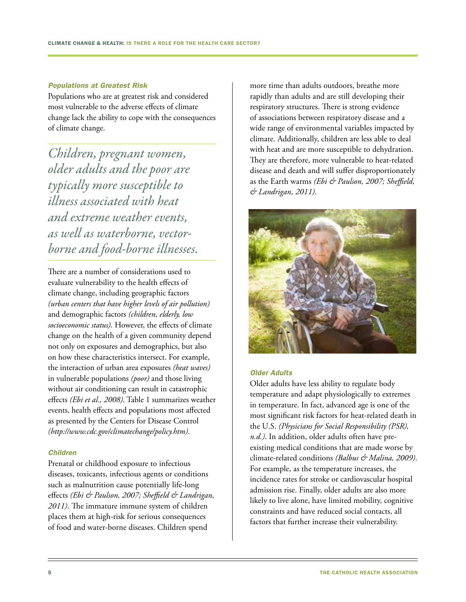# *Populations at Greatest Risk*

Populations who are at greatest risk and considered most vulnerable to the adverse effects of climate change lack the ability to cope with the consequences of climate change.

*Children, pregnant women, older adults and the poor are typically more susceptible to illness associated with heat and extreme weather events, as well as waterborne, vectorborne and food-borne illnesses.*

There are a number of considerations used to evaluate vulnerability to the health effects of climate change, including geographic factors *(urban centers that have higher levels of air pollution)* and demographic factors *(children, elderly, low socioeconomic status)*. However, the effects of climate change on the health of a given community depend not only on exposures and demographics, but also on how these characteristics intersect. For example, the interaction of urban area exposures *(heat waves)* in vulnerable populations *(poor)* and those living without air conditioning can result in catastrophic effects *(Ebi et al., 2008)*. Table 1 summarizes weather events, health effects and populations most affected as presented by the Centers for Disease Control *(http://www.cdc.gov/climatechange/policy.htm).*

# *Children*

Prenatal or childhood exposure to infectious diseases, toxicants, infectious agents or conditions such as malnutrition cause potentially life-long effects *(Ebi & Paulson, 2007; Sheffield & Landrigan, 2011)*. The immature immune system of children places them at high-risk for serious consequences of food and water-borne diseases. Children spend

more time than adults outdoors, breathe more rapidly than adults and are still developing their respiratory structures. There is strong evidence of associations between respiratory disease and a wide range of environmental variables impacted by climate. Additionally, children are less able to deal with heat and are more susceptible to dehydration. They are therefore, more vulnerable to heat-related disease and death and will suffer disproportionately as the Earth warms *(Ebi & Paulson, 2007; Sheffield, & Landrigan, 2011)*.



# *Older Adults*

Older adults have less ability to regulate body temperature and adapt physiologically to extremes in temperature. In fact, advanced age is one of the most significant risk factors for heat-related death in the U.S. *(Physicians for Social Responsibility (PSR), n.d.)*. In addition, older adults often have preexisting medical conditions that are made worse by climate-related conditions *(Balbus & Malina, 2009)*. For example, as the temperature increases, the incidence rates for stroke or cardiovascular hospital admission rise. Finally, older adults are also more likely to live alone, have limited mobility, cognitive constraints and have reduced social contacts, all factors that further increase their vulnerability.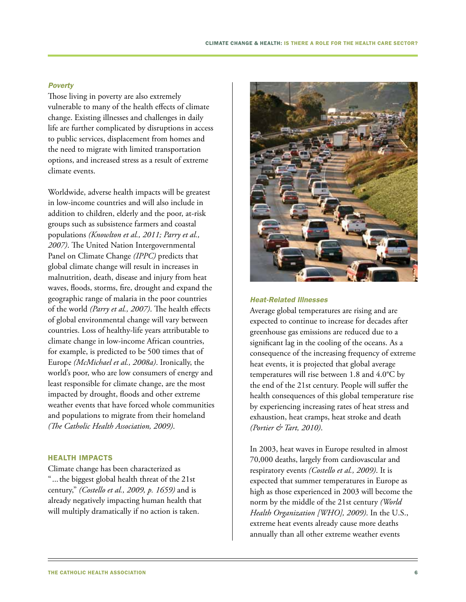#### *Poverty*

Those living in poverty are also extremely vulnerable to many of the health effects of climate change. Existing illnesses and challenges in daily life are further complicated by disruptions in access to public services, displacement from homes and the need to migrate with limited transportation options, and increased stress as a result of extreme climate events.

Worldwide, adverse health impacts will be greatest in low-income countries and will also include in addition to children, elderly and the poor, at-risk groups such as subsistence farmers and coastal populations *(Knowlton et al., 2011; Parry et al., 2007)*. The United Nation Intergovernmental Panel on Climate Change *(IPPC)* predicts that global climate change will result in increases in malnutrition, death, disease and injury from heat waves, floods, storms, fire, drought and expand the geographic range of malaria in the poor countries of the world *(Parry et al., 2007)*. The health effects of global environmental change will vary between countries. Loss of healthy-life years attributable to climate change in low-income African countries, for example, is predicted to be 500 times that of Europe *(McMichael et al., 2008a)*. Ironically, the world's poor, who are low consumers of energy and least responsible for climate change, are the most impacted by drought, floods and other extreme weather events that have forced whole communities and populations to migrate from their homeland *(The Catholic Health Association, 2009)*.

### Health Impacts

Climate change has been characterized as "...the biggest global health threat of the 21st century," *(Costello et al., 2009, p. 1659)* and is already negatively impacting human health that will multiply dramatically if no action is taken.



### *Heat-Related Illnesses*

Average global temperatures are rising and are expected to continue to increase for decades after greenhouse gas emissions are reduced due to a significant lag in the cooling of the oceans. As a consequence of the increasing frequency of extreme heat events, it is projected that global average temperatures will rise between 1.8 and 4.0°C by the end of the 21st century. People will suffer the health consequences of this global temperature rise by experiencing increasing rates of heat stress and exhaustion, heat cramps, heat stroke and death *(Portier & Tart, 2010)*.

In 2003, heat waves in Europe resulted in almost 70,000 deaths, largely from cardiovascular and respiratory events *(Costello et al., 2009)*. It is expected that summer temperatures in Europe as high as those experienced in 2003 will become the norm by the middle of the 21st century *(World Health Organization [WHO], 2009)*. In the U.S., extreme heat events already cause more deaths annually than all other extreme weather events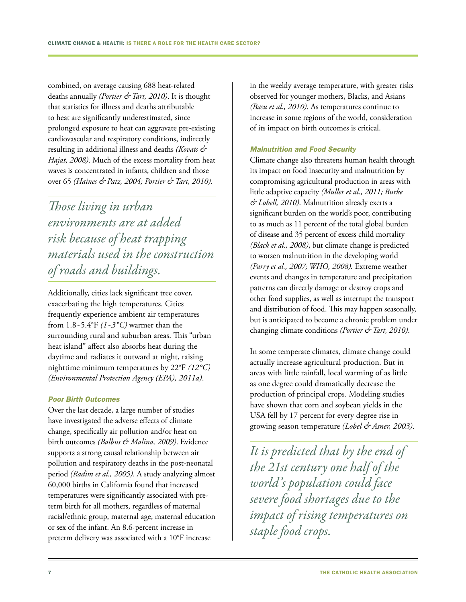combined, on average causing 688 heat-related deaths annually *(Portier & Tart, 2010)*. It is thought that statistics for illness and deaths attributable to heat are significantly underestimated, since prolonged exposure to heat can aggravate pre-existing cardiovascular and respiratory conditions, indirectly resulting in additional illness and deaths *(Kovats & Hajat, 2008)*. Much of the excess mortality from heat waves is concentrated in infants, children and those over 65 *(Haines & Patz, 2004; Portier & Tart, 2010)*.

*Those living in urban environments are at added risk because of heat trapping materials used in the construction of roads and buildings.*

Additionally, cities lack significant tree cover, exacerbating the high temperatures. Cities frequently experience ambient air temperatures from 1.8-5.4°F *(1-3°C)* warmer than the surrounding rural and suburban areas. This "urban heat island" affect also absorbs heat during the daytime and radiates it outward at night, raising nighttime minimum temperatures by 22°F *(12°C) (Environmental Protection Agency (EPA), 2011a)*.

# *Poor Birth Outcomes*

Over the last decade, a large number of studies have investigated the adverse effects of climate change, specifically air pollution and/or heat on birth outcomes *(Balbus & Malina, 2009)*. Evidence supports a strong causal relationship between air pollution and respiratory deaths in the post-neonatal period *(Radim et al., 2005)*. A study analyzing almost 60,000 births in California found that increased temperatures were significantly associated with preterm birth for all mothers, regardless of maternal racial/ethnic group, maternal age, maternal education or sex of the infant. An 8.6-percent increase in preterm delivery was associated with a 10°F increase

in the weekly average temperature, with greater risks observed for younger mothers, Blacks, and Asians *(Basu et al., 2010)*. As temperatures continue to increase in some regions of the world, consideration of its impact on birth outcomes is critical.

# *Malnutrition and Food Security*

Climate change also threatens human health through its impact on food insecurity and malnutrition by compromising agricultural production in areas with little adaptive capacity *(Muller et al., 2011; Burke & Lobell, 2010)*. Malnutrition already exerts a significant burden on the world's poor, contributing to as much as 11 percent of the total global burden of disease and 35 percent of excess child mortality *(Black et al., 2008)*, but climate change is predicted to worsen malnutrition in the developing world *(Parry et al., 2007; WHO, 2008).* Extreme weather events and changes in temperature and precipitation patterns can directly damage or destroy crops and other food supplies, as well as interrupt the transport and distribution of food. This may happen seasonally, but is anticipated to become a chronic problem under changing climate conditions *(Portier & Tart, 2010)*.

In some temperate climates, climate change could actually increase agricultural production. But in areas with little rainfall, local warming of as little as one degree could dramatically decrease the production of principal crops. Modeling studies have shown that corn and soybean yields in the USA fell by 17 percent for every degree rise in growing season temperature *(Lobel & Asner, 2003)*.

*It is predicted that by the end of the 21st century one half of the world's population could face severe food shortages due to the impact of rising temperatures on staple food crops.*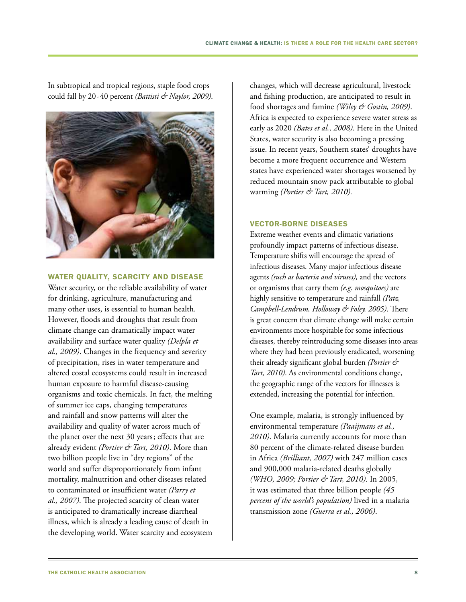In subtropical and tropical regions, staple food crops could fall by 20-40 percent *(Battisti & Naylor, 2009)*.



### WATER QUALITY, SCARCITY AND DISEASE

Water security, or the reliable availability of water for drinking, agriculture, manufacturing and many other uses, is essential to human health. However, floods and droughts that result from climate change can dramatically impact water availability and surface water quality *(Delpla et al., 2009)*. Changes in the frequency and severity of precipitation, rises in water temperature and altered costal ecosystems could result in increased human exposure to harmful disease-causing organisms and toxic chemicals. In fact, the melting of summer ice caps, changing temperatures and rainfall and snow patterns will alter the availability and quality of water across much of the planet over the next 30 years; effects that are already evident *(Portier & Tart, 2010)*. More than two billion people live in "dry regions" of the world and suffer disproportionately from infant mortality, malnutrition and other diseases related to contaminated or insufficient water *(Parry et al., 2007)*. The projected scarcity of clean water is anticipated to dramatically increase diarrheal illness, which is already a leading cause of death in the developing world. Water scarcity and ecosystem

changes, which will decrease agricultural, livestock and fishing production, are anticipated to result in food shortages and famine *(Wiley & Gostin, 2009)*. Africa is expected to experience severe water stress as early as 2020 *(Bates et al., 2008)*. Here in the United States, water security is also becoming a pressing issue. In recent years, Southern states' droughts have become a more frequent occurrence and Western states have experienced water shortages worsened by reduced mountain snow pack attributable to global warming *(Portier & Tart, 2010).* 

### Vector-borne diseases

Extreme weather events and climatic variations profoundly impact patterns of infectious disease. Temperature shifts will encourage the spread of infectious diseases. Many major infectious disease agents *(such as bacteria and viruses),* and the vectors or organisms that carry them *(e.g. mosquitoes)* are highly sensitive to temperature and rainfall *(Patz, Campbell-Lendrum, Holloway & Foley, 2005)*. There is great concern that climate change will make certain environments more hospitable for some infectious diseases, thereby reintroducing some diseases into areas where they had been previously eradicated, worsening their already significant global burden *(Portier & Tart, 2010)*. As environmental conditions change, the geographic range of the vectors for illnesses is extended, increasing the potential for infection.

One example, malaria, is strongly influenced by environmental temperature *(Paaijmans et al., 2010)*. Malaria currently accounts for more than 80 percent of the climate-related disease burden in Africa *(Brilliant, 2007)* with 247 million cases and 900,000 malaria-related deaths globally *(WHO, 2009; Portier & Tart, 2010)*. In 2005, it was estimated that three billion people *(45 percent of the world's population)* lived in a malaria transmission zone *(Guerra et al., 2006)*.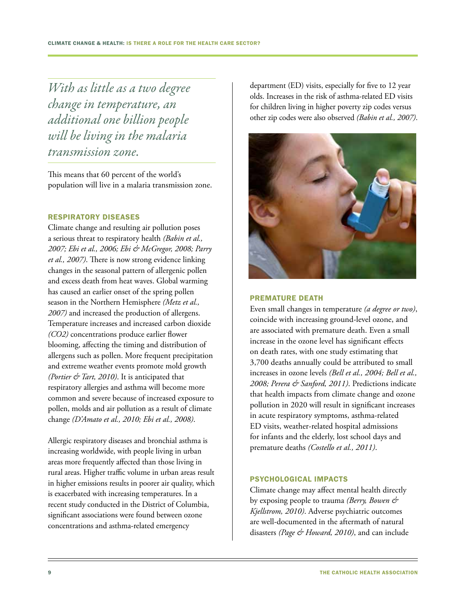*With as little as a two degree change in temperature, an additional one billion people will be living in the malaria transmission zone.*

This means that 60 percent of the world's population will live in a malaria transmission zone.

### Respiratory Diseases

Climate change and resulting air pollution poses a serious threat to respiratory health *(Babin et al., 2007; Ebi et al., 2006; Ebi & McGregor, 2008; Parry et al., 2007)*. There is now strong evidence linking changes in the seasonal pattern of allergenic pollen and excess death from heat waves. Global warming has caused an earlier onset of the spring pollen season in the Northern Hemisphere *(Metz et al., 2007)* and increased the production of allergens. Temperature increases and increased carbon dioxide *(CO2)* concentrations produce earlier flower blooming, affecting the timing and distribution of allergens such as pollen. More frequent precipitation and extreme weather events promote mold growth *(Portier & Tart, 2010)*. It is anticipated that respiratory allergies and asthma will become more common and severe because of increased exposure to pollen, molds and air pollution as a result of climate change *(D'Amato et al., 2010; Ebi et al., 2008)*.

Allergic respiratory diseases and bronchial asthma is increasing worldwide, with people living in urban areas more frequently affected than those living in rural areas. Higher traffic volume in urban areas result in higher emissions results in poorer air quality, which is exacerbated with increasing temperatures. In a recent study conducted in the District of Columbia, significant associations were found between ozone concentrations and asthma-related emergency

department (ED) visits, especially for five to 12 year olds. Increases in the risk of asthma-related ED visits for children living in higher poverty zip codes versus other zip codes were also observed *(Babin et al., 2007)*.



## Premature death

Even small changes in temperature *(a degree or two)*, coincide with increasing ground-level ozone, and are associated with premature death. Even a small increase in the ozone level has significant effects on death rates, with one study estimating that 3,700 deaths annually could be attributed to small increases in ozone levels *(Bell et al., 2004; Bell et al., 2008; Perera & Sanford, 2011)*. Predictions indicate that health impacts from climate change and ozone pollution in 2020 will result in significant increases in acute respiratory symptoms, asthma-related ED visits, weather-related hospital admissions for infants and the elderly, lost school days and premature deaths *(Costello et al., 2011)*.

#### Psychological Impacts

Climate change may affect mental health directly by exposing people to trauma *(Berry, Bowen & Kjellstrom, 2010)*. Adverse psychiatric outcomes are well-documented in the aftermath of natural disasters *(Page & Howard, 2010)*, and can include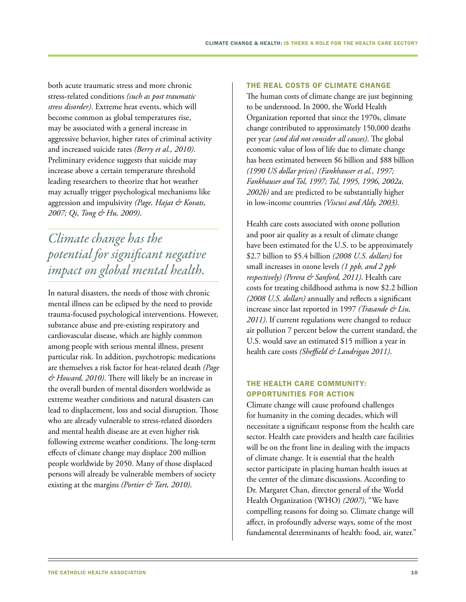both acute traumatic stress and more chronic stress-related conditions *(such as post traumatic stress disorder)*. Extreme heat events, which will become common as global temperatures rise, may be associated with a general increase in aggressive behavior, higher rates of criminal activity and increased suicide rates *(Berry et al., 2010)*. Preliminary evidence suggests that suicide may increase above a certain temperature threshold leading researchers to theorize that hot weather may actually trigger psychological mechanisms like aggression and impulsivity *(Page, Hajat & Kovats, 2007; Qi, Tong & Hu, 2009)*.

*Climate change has the potential for significant negative impact on global mental health.*

In natural disasters, the needs of those with chronic mental illness can be eclipsed by the need to provide trauma-focused psychological interventions. However, substance abuse and pre-existing respiratory and cardiovascular disease, which are highly common among people with serious mental illness, present particular risk. In addition, psychotropic medications are themselves a risk factor for heat-related death *(Page & Howard, 2010)*. There will likely be an increase in the overall burden of mental disorders worldwide as extreme weather conditions and natural disasters can lead to displacement, loss and social disruption. Those who are already vulnerable to stress-related disorders and mental health disease are at even higher risk following extreme weather conditions. The long-term effects of climate change may displace 200 million people worldwide by 2050. Many of those displaced persons will already be vulnerable members of society existing at the margins *(Portier & Tart, 2010)*.

### The Real Costs of Climate Change

The human costs of climate change are just beginning to be understood. In 2000, the World Health Organization reported that since the 1970s, climate change contributed to approximately 150,000 deaths per year *(and did not consider all causes)*. The global economic value of loss of life due to climate change has been estimated between \$6 billion and \$88 billion *(1990 US dollar prices) (Fankhauser et al., 1997; Fankhauser and Tol, 1997; Tol, 1995, 1996, 2002a, 2002b)* and are predicted to be substantially higher in low-income countries *(Viscusi and Aldy, 2003)*.

Health care costs associated with ozone pollution and poor air quality as a result of climate change have been estimated for the U.S. to be approximately \$2.7 billion to \$5.4 billion *(2008 U.S. dollars)* for small increases in ozone levels *(1 ppb, and 2 ppb respectively) (Perera & Sanford, 2011)*. Health care costs for treating childhood asthma is now \$2.2 billion *(2008 U.S. dollars)* annually and reflects a significant increase since last reported in 1997 *(Trasande & Liu, 2011)*. If current regulations were changed to reduce air pollution 7 percent below the current standard, the U.S. would save an estimated \$15 million a year in health care costs *(Sheffield & Landrigan 2011)*.

# The Health Care Community: Opportunities for Action

Climate change will cause profound challenges for humanity in the coming decades, which will necessitate a significant response from the health care sector. Health care providers and health care facilities will be on the front line in dealing with the impacts of climate change. It is essential that the health sector participate in placing human health issues at the center of the climate discussions. According to Dr. Margaret Chan, director general of the World Health Organization (WHO) *(2007)*, "We have compelling reasons for doing so. Climate change will affect, in profoundly adverse ways, some of the most fundamental determinants of health: food, air, water."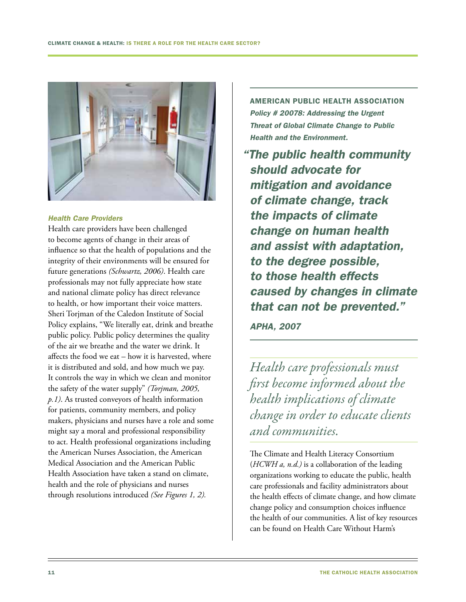

# *Health Care Providers*

Health care providers have been challenged to become agents of change in their areas of influence so that the health of populations and the integrity of their environments will be ensured for future generations *(Schwartz, 2006)*. Health care professionals may not fully appreciate how state and national climate policy has direct relevance to health, or how important their voice matters. Sheri Torjman of the Caledon Institute of Social Policy explains, "We literally eat, drink and breathe public policy. Public policy determines the quality of the air we breathe and the water we drink. It affects the food we eat – how it is harvested, where it is distributed and sold, and how much we pay. It controls the way in which we clean and monitor the safety of the water supply" *(Torjman, 2005, p.1)*. As trusted conveyors of health information for patients, community members, and policy makers, physicians and nurses have a role and some might say a moral and professional responsibility to act. Health professional organizations including the American Nurses Association, the American Medical Association and the American Public Health Association have taken a stand on climate, health and the role of physicians and nurses through resolutions introduced *(See Figures 1, 2).*

American Public Health Association *Policy # 20078: Addressing the Urgent Threat of Global Climate Change to Public Health and the Environment.*

 *"The public health community should advocate for mitigation and avoidance of climate change, track the impacts of climate change on human health and assist with adaptation, to the degree possible, to those health effects caused by changes in climate that can not be prevented."*

*APHA, 2007*

*Health care professionals must first become informed about the health implications of climate change in order to educate clients and communities.* 

The Climate and Health Literacy Consortium (*HCWH a, n.d.)* is a collaboration of the leading organizations working to educate the public, health care professionals and facility administrators about the health effects of climate change, and how climate change policy and consumption choices influence the health of our communities. A list of key resources can be found on Health Care Without Harm's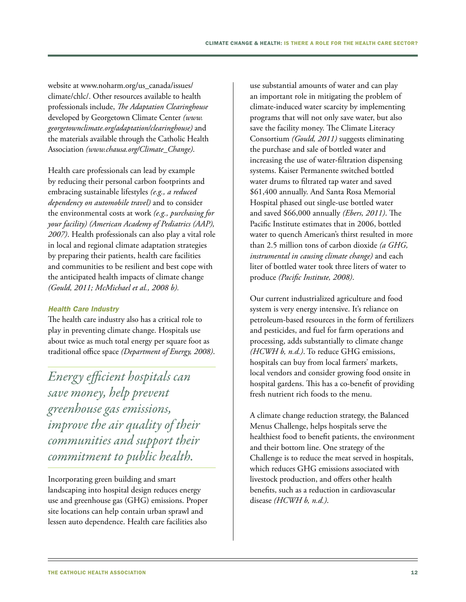website at www.noharm.org/us\_canada/issues/ climate/chlc/. Other resources available to health professionals include, *The Adaptation Clearinghouse* developed by Georgetown Climate Center *(www. georgetownclimate.org/adaptation/clearinghouse)* and the materials available through the Catholic Health Association *(www.chausa.org/Climate\_Change)*.

Health care professionals can lead by example by reducing their personal carbon footprints and embracing sustainable lifestyles *(e.g., a reduced dependency on automobile travel)* and to consider the environmental costs at work *(e.g., purchasing for your facility) (American Academy of Pediatrics (AAP), 2007)*. Health professionals can also play a vital role in local and regional climate adaptation strategies by preparing their patients, health care facilities and communities to be resilient and best cope with the anticipated health impacts of climate change *(Gould, 2011; McMichael et al., 2008 b).*

# *Health Care Industry*

The health care industry also has a critical role to play in preventing climate change. Hospitals use about twice as much total energy per square foot as traditional office space *(Department of Energy, 2008)*.

*Energy efficient hospitals can save money, help prevent greenhouse gas emissions, improve the air quality of their communities and support their commitment to public health.*

Incorporating green building and smart landscaping into hospital design reduces energy use and greenhouse gas (GHG) emissions. Proper site locations can help contain urban sprawl and lessen auto dependence. Health care facilities also

use substantial amounts of water and can play an important role in mitigating the problem of climate-induced water scarcity by implementing programs that will not only save water, but also save the facility money. The Climate Literacy Consortium *(Gould, 2011)* suggests eliminating the purchase and sale of bottled water and increasing the use of water-filtration dispensing systems. Kaiser Permanente switched bottled water drums to filtrated tap water and saved \$61,400 annually. And Santa Rosa Memorial Hospital phased out single-use bottled water and saved \$66,000 annually *(Ebers, 2011)*. The Pacific Institute estimates that in 2006, bottled water to quench American's thirst resulted in more than 2.5 million tons of carbon dioxide *(a GHG, instrumental in causing climate change)* and each liter of bottled water took three liters of water to produce *(Pacific Institute, 2008)*.

Our current industrialized agriculture and food system is very energy intensive. It's reliance on petroleum-based resources in the form of fertilizers and pesticides, and fuel for farm operations and processing, adds substantially to climate change *(HCWH b, n.d.)*. To reduce GHG emissions, hospitals can buy from local farmers' markets, local vendors and consider growing food onsite in hospital gardens. This has a co-benefit of providing fresh nutrient rich foods to the menu.

A climate change reduction strategy, the Balanced Menus Challenge, helps hospitals serve the healthiest food to benefit patients, the environment and their bottom line. One strategy of the Challenge is to reduce the meat served in hospitals, which reduces GHG emissions associated with livestock production, and offers other health benefits, such as a reduction in cardiovascular disease *(HCWH b, n.d.)*.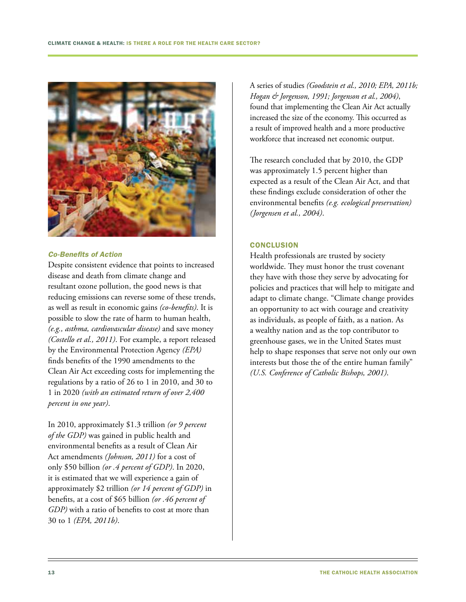

#### *Co-Benefits of Action*

Despite consistent evidence that points to increased disease and death from climate change and resultant ozone pollution, the good news is that reducing emissions can reverse some of these trends, as well as result in economic gains *(co-benefits)*. It is possible to slow the rate of harm to human health, *(e.g., asthma, cardiovascular disease)* and save money *(Costello et al., 2011)*. For example, a report released by the Environmental Protection Agency *(EPA)* finds benefits of the 1990 amendments to the Clean Air Act exceeding costs for implementing the regulations by a ratio of 26 to 1 in 2010, and 30 to 1 in 2020 *(with an estimated return of over 2,400 percent in one year)*.

In 2010, approximately \$1.3 trillion *(or 9 percent of the GDP)* was gained in public health and environmental benefits as a result of Clean Air Act amendments *(Johnson, 2011)* for a cost of only \$50 billion *(or .4 percent of GDP)*. In 2020, it is estimated that we will experience a gain of approximately \$2 trillion *(or 14 percent of GDP)* in benefits, at a cost of \$65 billion *(or .46 percent of GDP)* with a ratio of benefits to cost at more than 30 to 1 *(EPA, 2011b)*.

A series of studies *(Goodstein et al., 2010; EPA, 2011b; Hogan & Jorgenson, 1991; Jorgenson et al., 2004)*, found that implementing the Clean Air Act actually increased the size of the economy. This occurred as a result of improved health and a more productive workforce that increased net economic output.

The research concluded that by 2010, the GDP was approximately 1.5 percent higher than expected as a result of the Clean Air Act, and that these findings exclude consideration of other the environmental benefits *(e.g. ecological preservation) (Jorgensen et al., 2004)*.

#### **CONCLUSION**

Health professionals are trusted by society worldwide. They must honor the trust covenant they have with those they serve by advocating for policies and practices that will help to mitigate and adapt to climate change. "Climate change provides an opportunity to act with courage and creativity as individuals, as people of faith, as a nation. As a wealthy nation and as the top contributor to greenhouse gases, we in the United States must help to shape responses that serve not only our own interests but those the of the entire human family" *(U.S. Conference of Catholic Bishops, 2001)*.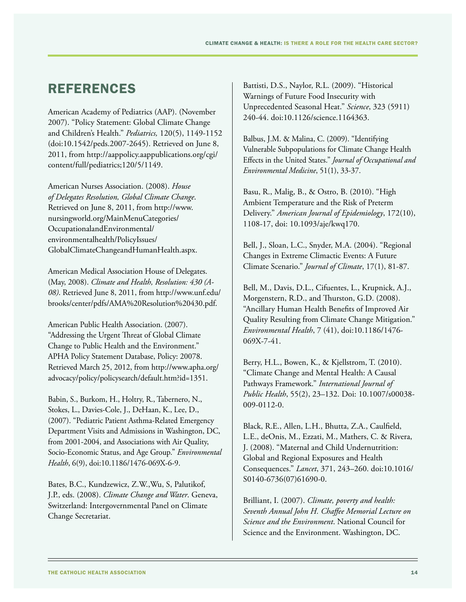# **REFERENCES**

American Academy of Pediatrics (AAP). (November 2007). "Policy Statement: Global Climate Change and Children's Health." *Pediatrics,* 120(5), 1149-1152 (doi:10.1542/peds.2007-2645). Retrieved on June 8, 2011, from http://aappolicy.aappublications.org/cgi/ content/full/pediatrics;120/5/1149.

American Nurses Association. (2008). *House of Delegates Resolution, Global Climate Change*. Retrieved on June 8, 2011, from http://www. nursingworld.org/MainMenuCategories/ OccupationalandEnvironmental/ environmentalhealth/PolicyIssues/ GlobalClimateChangeandHumanHealth.aspx.

American Medical Association House of Delegates. (May, 2008). *Climate and Health, Resolution: 430 (A-08)*. Retrieved June 8, 2011, from http://www.unf.edu/ brooks/center/pdfs/AMA%20Resolution%20430.pdf.

American Public Health Association. (2007). "Addressing the Urgent Threat of Global Climate Change to Public Health and the Environment." APHA Policy Statement Database, Policy: 20078. Retrieved March 25, 2012, from http://www.apha.org/ advocacy/policy/policysearch/default.htm?id=1351.

Babin, S., Burkom, H., Holtry, R., Tabernero, N., Stokes, L., Davies-Cole, J., DeHaan, K., Lee, D., (2007). "Pediatric Patient Asthma-Related Emergency Department Visits and Admissions in Washington, DC, from 2001-2004, and Associations with Air Quality, Socio-Economic Status, and Age Group." *Environmental Health*, 6(9), doi:10.1186/1476-069X-6-9.

Bates, B.C., Kundzewicz, Z.W.,Wu, S, Palutikof, J.P., eds. (2008). *Climate Change and Water*. Geneva, Switzerland: Intergovernmental Panel on Climate Change Secretariat.

Battisti, D.S., Naylor, R.L. (2009). "Historical Warnings of Future Food Insecurity with Unprecedented Seasonal Heat." *Science*, 323 (5911) 240-44. doi:10.1126/science.1164363.

Balbus, J.M. & Malina, C. (2009). "Identifying Vulnerable Subpopulations for Climate Change Health Effects in the United States." *Journal of Occupational and Environmental Medicine*, 51(1), 33-37.

Basu, R., Malig, B., & Ostro, B. (2010). "High Ambient Temperature and the Risk of Preterm Delivery." *American Journal of Epidemiology*, 172(10), 1108-17, doi: 10.1093/aje/kwq170.

Bell, J., Sloan, L.C., Snyder, M.A. (2004). "Regional Changes in Extreme Climactic Events: A Future Climate Scenario." *Journal of Climate*, 17(1), 81-87.

Bell, M., Davis, D.L., Cifuentes, L., Krupnick, A.J., Morgenstern, R.D., and Thurston, G.D. (2008). "Ancillary Human Health Benefits of Improved Air Quality Resulting from Climate Change Mitigation." *Environmental Health*, 7 (41), doi:10.1186/1476- 069X-7-41.

Berry, H.L., Bowen, K., & Kjellstrom, T. (2010). "Climate Change and Mental Health: A Causal Pathways Framework." *International Journal of Public Health*, 55(2), 23–132. Doi: 10.1007/s00038- 009-0112-0.

Black, R.E., Allen, L.H., Bhutta, Z.A., Caulfield, L.E., deOnis, M., Ezzati, M., Mathers, C. & Rivera, J. (2008). "Maternal and Child Undernutrition: Global and Regional Exposures and Health Consequences." *Lancet*, 371, 243–260. doi:10.1016/ S0140-6736(07)61690-0.

Brilliant, I. (2007). *Climate, poverty and health: Seventh Annual John H. Chaffee Memorial Lecture on Science and the Environment*. National Council for Science and the Environment. Washington, DC.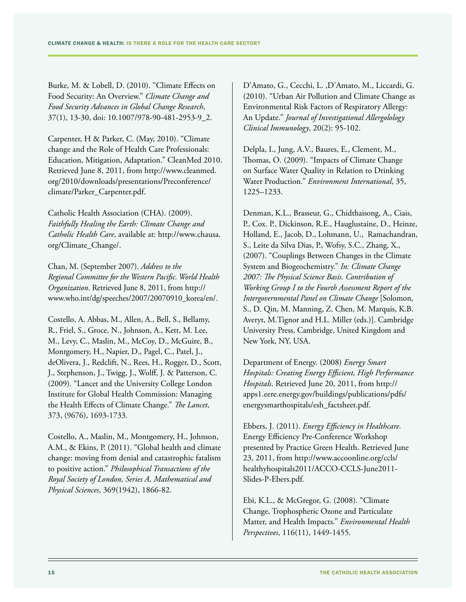Burke, M. & Lobell, D. (2010). "Climate Effects on Food Security: An Overview." *Climate Change and Food Security Advances in Global Change Research*, 37(1), 13-30, doi: 10.1007/978-90-481-2953-9\_2.

Carpenter, H & Parker, C. (May, 2010). "Climate change and the Role of Health Care Professionals: Education, Mitigation, Adaptation." CleanMed 2010. Retrieved June 8, 2011, from http://www.cleanmed. org/2010/downloads/presentations/Preconference/ climate/Parker\_Carpenter.pdf.

Catholic Health Association (CHA). (2009). *Faithfully Healing the Earth: Climate Change and Catholic Health Care*, available at: http://www.chausa. org/Climate\_Change/.

Chan, M. (September 2007). *Address to the Regional Committee for the Western Pacific. World Health Organization*. Retrieved June 8, 2011, from http:// www.who.int/dg/speeches/2007/20070910\_korea/en/.

Costello, A. Abbas, M., Allen, A., Bell, S., Bellamy, R., Friel, S., Groce, N., Johnson, A., Kett, M. Lee, M., Levy, C., Maslin, M., McCoy, D., McGuire, B., Montgomery, H., Napier, D., Pagel, C., Patel, J., deOlivera, J., Redclift, N., Rees, H., Rogger, D., Scott, J., Stephenson, J., Twigg, J., Wolff, J. & Patterson, C. (2009). "Lancet and the University College London Institute for Global Health Commission: Managing the Health Effects of Climate Change." *The Lancet*, 373, (9676), 1693-1733.

Costello, A., Maslin, M., Montgomery, H., Johnson, A.M., & Ekins, P. (2011). "Global health and climate change: moving from denial and catastrophic fatalism to positive action." *Philosophical Transactions of the Royal Society of London, Series A, Mathematical and Physical Sciences*, 369(1942), 1866-82.

D'Amato, G., Cecchi, L. ,D'Amato, M., Liccardi, G. (2010). "Urban Air Pollution and Climate Change as Environmental Risk Factors of Respiratory Allergy: An Update." *Journal of Investigational Allergolology Clinical Immunology*, 20(2): 95-102.

Delpla, I., Jung, A.V., Baures, E., Clement, M., Thomas, O. (2009). "Impacts of Climate Change on Surface Water Quality in Relation to Drinking Water Production." *Environment International*, 35, 1225–1233.

Denman, K.L., Brasseur, G., Chidthaisong, A., Ciais, P., Cox. P., Dickinson, R.E., Hauglustaine, D., Heinze, Holland, E., Jacob, D., Lohmann, U., Ramachandran, S., Leite da Silva Dias, P., Wofsy, S.C., Zhang, X., (2007). "Couplings Between Changes in the Climate System and Biogeochemistry." *In: Climate Change 2007: The Physical Science Basis. Contribution of Working Group I to the Fourth Assessment Report of the Intergovernmental Panel on Climate Change* [Solomon, S., D. Qin, M. Manning, Z. Chen, M. Marquis, K.B. Averyt, M.Tignor and H.L. Miller (eds.)]. Cambridge University Press, Cambridge, United Kingdom and New York, NY, USA.

Department of Energy. (2008) *Energy Smart Hospitals: Creating Energy Efficient, High Performance Hospitals*. Retrieved June 20, 2011, from http:// apps1.eere.energy.gov/buildings/publications/pdfs/ energysmarthospitals/esh\_factsheet.pdf.

Ebbers, J. (2011). *Energy Efficiency in Healthcare*. Energy Efficiency Pre-Conference Workshop presented by Practice Green Health. Retrieved June 23, 2011, from http://www.accoonline.org/ccls/ healthyhospitals2011/ACCO-CCLS-June2011- Slides-P-Ebers.pdf.

Ebi, K.L., & McGregor, G. (2008). "Climate Change, Trophospheric Ozone and Particulate Matter, and Health Impacts." *Environmental Health Perspectives*, 116(11), 1449-1455.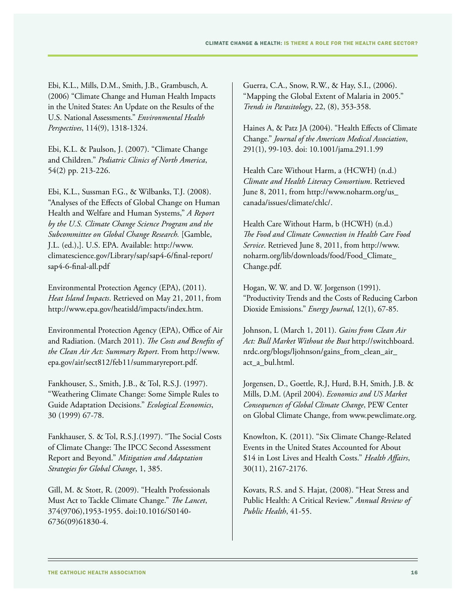Ebi, K.L., Mills, D.M., Smith, J.B., Grambusch, A. (2006) "Climate Change and Human Health Impacts in the United States: An Update on the Results of the U.S. National Assessments." *Environmental Health Perspectives*, 114(9), 1318-1324.

Ebi, K.L. & Paulson, J. (2007). "Climate Change and Children." *Pediatric Clinics of North America*, 54(2) pp. 213-226.

Ebi, K.L., Sussman F.G., & Wilbanks, T.J. (2008). "Analyses of the Effects of Global Change on Human Health and Welfare and Human Systems," *A Report by the U.S. Climate Change Science Program and the Subcommittee on Global Change Research.* [Gamble, J.L. (ed.),]. U.S. EPA. Available: http://www. climatescience.gov/Library/sap/sap4-6/final-report/ sap4-6-final-all.pdf

Environmental Protection Agency (EPA), (2011). *Heat Island Impacts*. Retrieved on May 21, 2011, from http://www.epa.gov/heatisld/impacts/index.htm.

Environmental Protection Agency (EPA), Office of Air and Radiation. (March 2011). *The Costs and Benefits of the Clean Air Act: Summary Report*. From http://www. epa.gov/air/sect812/feb11/summaryreport.pdf.

Fankhouser, S., Smith, J.B., & Tol, R.S.J. (1997). "Weathering Climate Change: Some Simple Rules to Guide Adaptation Decisions." *Ecological Economics*, 30 (1999) 67-78.

Fankhauser, S. & Tol, R.S.J.(1997). "The Social Costs of Climate Change: The IPCC Second Assessment Report and Beyond." *Mitigation and Adaptation Strategies for Global Change*, 1, 385.

Gill, M. & Stott, R. (2009). "Health Professionals Must Act to Tackle Climate Change." *The Lancet*, 374(9706),1953-1955. doi:10.1016/S0140- 6736(09)61830-4.

Guerra, C.A., Snow, R.W., & Hay, S.I., (2006). "Mapping the Global Extent of Malaria in 2005." *Trends in Parasitology*, 22, (8), 353-358.

Haines A, & Patz JA (2004). "Health Effects of Climate Change." *Journal of the American Medical Association*, 291(1), 99-103. doi: 10.1001/jama.291.1.99

Health Care Without Harm, a (HCWH) (n.d.) *Climate and Health Literacy Consortium*. Retrieved June 8, 2011, from http://www.noharm.org/us\_ canada/issues/climate/chlc/.

Health Care Without Harm, b (HCWH) (n.d.) *The Food and Climate Connection in Health Care Food Service*. Retrieved June 8, 2011, from http://www. noharm.org/lib/downloads/food/Food\_Climate\_ Change.pdf.

Hogan, W. W. and D. W. Jorgenson (1991). "Productivity Trends and the Costs of Reducing Carbon Dioxide Emissions." *Energy Journal*, 12(1), 67-85.

Johnson, L (March 1, 2011). *Gains from Clean Air Act: Bull Market Without the Bust* http://switchboard. nrdc.org/blogs/ljohnson/gains\_from\_clean\_air\_ act\_a\_bul.html.

Jorgensen, D., Goettle, R.J, Hurd, B.H, Smith, J.B. & Mills, D.M. (April 2004). *Economics and US Market Consequences of Global Climate Change*, PEW Center on Global Climate Change, from www.pewclimate.org.

Knowlton, K. (2011). "Six Climate Change-Related Events in the United States Accounted for About \$14 in Lost Lives and Health Costs." *Health Affairs*, 30(11), 2167-2176.

Kovats, R.S. and S. Hajat, (2008). "Heat Stress and Public Health: A Critical Review." *Annual Review of Public Health*, 41-55.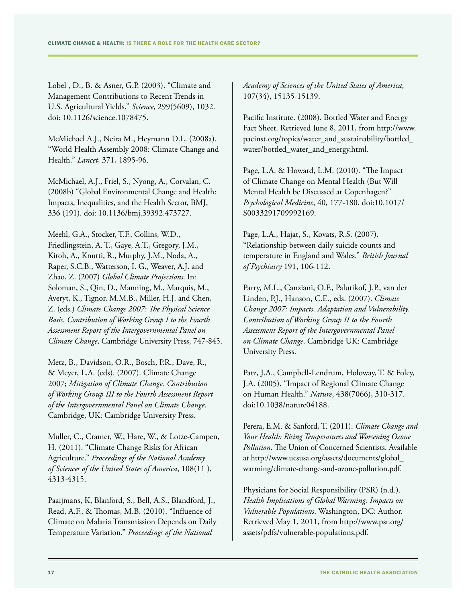Lobel , D., B. & Asner, G.P. (2003). "Climate and Management Contributions to Recent Trends in U.S. Agricultural Yields." *Science*, 299(5609), 1032. doi: 10.1126/science.1078475.

McMichael A.J., Neira M., Heymann D.L. (2008a). "World Health Assembly 2008: Climate Change and Health." *Lancet*, 371, 1895-96.

McMichael, A.J., Friel, S., Nyong, A., Corvalan, C. (2008b) "Global Environmental Change and Health: Impacts, Inequalities, and the Health Sector, BMJ, 336 (191). doi: 10.1136/bmj.39392.473727.

Meehl, G.A., Stocker, T.F., Collins, W.D., Friedlingstein, A. T., Gaye, A.T., Gregory, J.M., Kitoh, A., Knutti, R., Murphy, J.M., Noda, A., Raper, S.C.B., Watterson, I. G., Weaver, A.J. and Zhao, Z. (2007) *Global Climate Projections*. In: Soloman, S., Qin, D., Manning, M., Marquis, M., Averyt, K., Tignor, M.M.B., Miller, H.J. and Chen, Z. (eds.) *Climate Change 2007: The Physical Science Basis. Contribution of Working Group I to the Fourth Assessment Report of the Intergovernmental Panel on Climate Change*, Cambridge University Press, 747-845.

Metz, B., Davidson, O.R., Bosch, P.R., Dave, R., & Meyer, L.A. (eds). (2007). Climate Change 2007; *Mitigation of Climate Change. Contribution of Working Group III to the Fourth Assessment Report of the Intergovernmental Panel on Climate Change*. Cambridge, UK: Cambridge University Press.

Muller, C., Cramer, W., Hare, W., & Lotze-Campen, H. (2011). "Climate Change Risks for African Agriculture." *Proceedings of the National Academy of Sciences of the United States of America*, 108(11 ), 4313-4315.

Paaijmans, K, Blanford, S., Bell, A.S., Blandford, J., Read, A.F., & Thomas, M.B. (2010). "Influence of Climate on Malaria Transmission Depends on Daily Temperature Variation." *Proceedings of the National* 

*Academy of Sciences of the United States of America*, 107(34), 15135-15139.

Pacific Institute. (2008). Bottled Water and Energy Fact Sheet. Retrieved June 8, 2011, from http://www. pacinst.org/topics/water\_and\_sustainability/bottled\_ water/bottled\_water\_and\_energy.html.

Page, L.A. & Howard, L.M. (2010). "The Impact of Climate Change on Mental Health (But Will Mental Health be Discussed at Copenhagen?" *Psychological Medicine*, 40, 177-180. doi:10.1017/ S0033291709992169.

Page, L.A., Hajat, S., Kovats, R.S. (2007). "Relationship between daily suicide counts and temperature in England and Wales." *British Journal of Psychiatry* 191, 106-112.

Parry, M.L., Canziani, O.F., Palutikof, J.P., van der Linden, P.J., Hanson, C.E., eds. (2007). *Climate Change 2007: Impacts, Adaptation and Vulnerability. Contribution of Working Group II to the Fourth Assessment Report of the Intergovernmental Panel on Climate Change*. Cambridge UK: Cambridge University Press.

Patz, J.A., Campbell-Lendrum, Holoway, T. & Foley, J.A. (2005). "Impact of Regional Climate Change on Human Health." *Nature*, 438(7066), 310-317. doi:10.1038/nature04188.

Perera, E.M. & Sanford, T. (2011). *Climate Change and Your Health: Rising Temperatures and Worsening Ozone Pollution*. The Union of Concerned Scientists. Available at http://www.ucsusa.org/assets/documents/global\_ warming/climate-change-and-ozone-pollution.pdf.

Physicians for Social Responsibility (PSR) (n.d.). *Health Implications of Global Warming: Impacts on Vulnerable Populations*. Washington, DC: Author. Retrieved May 1, 2011, from http://www.psr.org/ assets/pdfs/vulnerable-populations.pdf.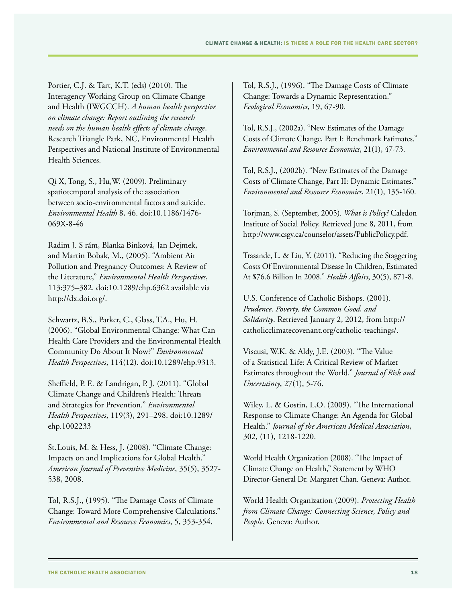Portier, C.J. & Tart, K.T. (eds) (2010). The Interagency Working Group on Climate Change and Health (IWGCCH). *A human health perspective on climate change: Report outlining the research needs on the human health effects of climate change*. Research Triangle Park, NC, Environmental Health Perspectives and National Institute of Environmental Health Sciences.

Qi X, Tong, S., Hu,W. (2009). Preliminary spatiotemporal analysis of the association between socio-environmental factors and suicide. *Environmental Health* 8, 46. doi:10.1186/1476- 069X-8-46

Radim J. S rám, Blanka Binková, Jan Dejmek, and Martin Bobak, M., (2005). "Ambient Air Pollution and Pregnancy Outcomes: A Review of the Literature," *Environmental Health Perspectives*, 113:375–382. doi:10.1289/ehp.6362 available via http://dx.doi.org/.

Schwartz, B.S., Parker, C., Glass, T.A., Hu, H. (2006). "Global Environmental Change: What Can Health Care Providers and the Environmental Health Community Do About It Now?" *Environmental Health Perspectives*, 114(12). doi:10.1289/ehp.9313.

Sheffield, P. E. & Landrigan, P. J. (2011). "Global Climate Change and Children's Health: Threats and Strategies for Prevention." *Environmental Health Perspectives*, 119(3), 291–298. doi:10.1289/ ehp.1002233

St.Louis, M. & Hess, J. (2008). "Climate Change: Impacts on and Implications for Global Health." *American Journal of Preventive Medicine*, 35(5), 3527- 538, 2008.

Tol, R.S.J., (1995). "The Damage Costs of Climate Change: Toward More Comprehensive Calculations." *Environmental and Resource Economics*, 5, 353-354.

Tol, R.S.J., (1996). "The Damage Costs of Climate Change: Towards a Dynamic Representation." *Ecological Economics*, 19, 67-90.

Tol, R.S.J., (2002a). "New Estimates of the Damage Costs of Climate Change, Part I: Benchmark Estimates." *Environmental and Resource Economics*, 21(1), 47-73.

Tol, R.S.J., (2002b). "New Estimates of the Damage Costs of Climate Change, Part II: Dynamic Estimates." *Environmental and Resource Economics*, 21(1), 135-160.

Torjman, S. (September, 2005). *What is Policy?* Caledon Institute of Social Policy. Retrieved June 8, 2011, from http://www.csgv.ca/counselor/assets/PublicPolicy.pdf.

Trasande, L. & Liu, Y. (2011). "Reducing the Staggering Costs Of Environmental Disease In Children, Estimated At \$76.6 Billion In 2008." *Health Affairs*, 30(5), 871-8.

U.S. Conference of Catholic Bishops. (2001). *Prudence, Poverty, the Common Good, and Solidarity*. Retrieved January 2, 2012, from http:// catholicclimatecovenant.org/catholic-teachings/.

Viscusi, W.K. & Aldy, J.E. (2003). "The Value of a Statistical Life: A Critical Review of Market Estimates throughout the World." *Journal of Risk and Uncertainty*, 27(1), 5-76.

Wiley, L. & Gostin, L.O. (2009). "The International Response to Climate Change: An Agenda for Global Health." *Journal of the American Medical Association*, 302, (11), 1218-1220.

World Health Organization (2008). "The Impact of Climate Change on Health," Statement by WHO Director-General Dr. Margaret Chan. Geneva: Author.

World Health Organization (2009). *Protecting Health from Climate Change: Connecting Science, Policy and People*. Geneva: Author.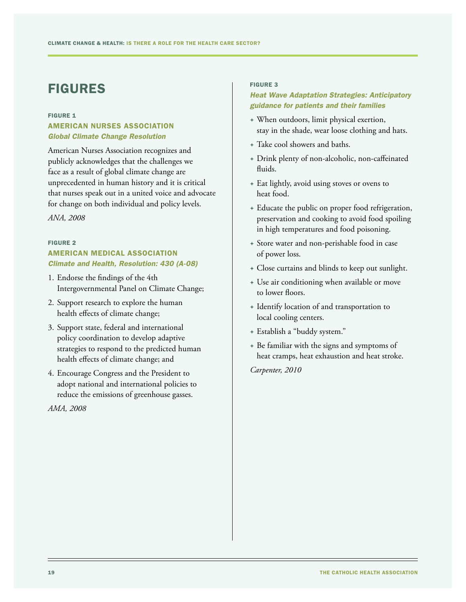# **FIGURES**

#### **FIGURE 1**

# American Nurses Association *Global Climate Change Resolution*

American Nurses Association recognizes and publicly acknowledges that the challenges we face as a result of global climate change are unprecedented in human history and it is critical that nurses speak out in a united voice and advocate for change on both individual and policy levels.

*ANA, 2008*

#### figure 2

# American Medical Association *Climate and Health, Resolution: 430 (A-08)*

- 1. Endorse the findings of the 4th Intergovernmental Panel on Climate Change;
- 2. Support research to explore the human health effects of climate change;
- 3. Support state, federal and international policy coordination to develop adaptive strategies to respond to the predicted human health effects of climate change; and
- 4. Encourage Congress and the President to adopt national and international policies to reduce the emissions of greenhouse gasses.

*AMA, 2008*

#### figure 3

# *Heat Wave Adaptation Strategies: Anticipatory guidance for patients and their families*

- + When outdoors, limit physical exertion, stay in the shade, wear loose clothing and hats.
- $+$  Take cool showers and baths.
- + Drink plenty of non-alcoholic, non-caffeinated fluids.
- + Eat lightly, avoid using stoves or ovens to heat food.
- + Educate the public on proper food refrigeration, preservation and cooking to avoid food spoiling in high temperatures and food poisoning.
- + Store water and non-perishable food in case of power loss.
- + Close curtains and blinds to keep out sunlight.
- + Use air conditioning when available or move to lower floors.
- + Identify location of and transportation to local cooling centers.
- + Establish a "buddy system."
- $+$  Be familiar with the signs and symptoms of heat cramps, heat exhaustion and heat stroke.

*Carpenter, 2010*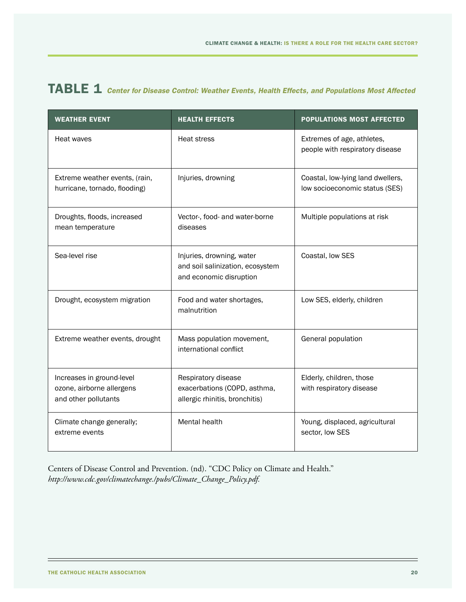|  | $\textbf{TABLE 1}\,\,$ center for Disease Control: Weather Events, Health Effects, and Populations Most Affected |  |  |  |  |  |  |  |  |
|--|------------------------------------------------------------------------------------------------------------------|--|--|--|--|--|--|--|--|
|--|------------------------------------------------------------------------------------------------------------------|--|--|--|--|--|--|--|--|

| <b>WEATHER EVENT</b>                                                           | <b>HEALTH EFFECTS</b>                                                                    | <b>POPULATIONS MOST AFFECTED</b>                                    |  |  |  |
|--------------------------------------------------------------------------------|------------------------------------------------------------------------------------------|---------------------------------------------------------------------|--|--|--|
| Heat waves                                                                     | <b>Heat stress</b>                                                                       | Extremes of age, athletes,<br>people with respiratory disease       |  |  |  |
| Extreme weather events, (rain,<br>hurricane, tornado, flooding)                | Injuries, drowning                                                                       | Coastal, low-lying land dwellers,<br>low socioeconomic status (SES) |  |  |  |
| Droughts, floods, increased<br>mean temperature                                | Vector-, food- and water-borne<br>diseases                                               | Multiple populations at risk                                        |  |  |  |
| Sea-level rise                                                                 | Injuries, drowning, water<br>and soil salinization, ecosystem<br>and economic disruption | Coastal, low SES                                                    |  |  |  |
| Drought, ecosystem migration                                                   | Food and water shortages,<br>malnutrition                                                | Low SES, elderly, children                                          |  |  |  |
| Extreme weather events, drought                                                | Mass population movement,<br>international conflict                                      | General population                                                  |  |  |  |
| Increases in ground-level<br>ozone, airborne allergens<br>and other pollutants | Respiratory disease<br>exacerbations (COPD, asthma,<br>allergic rhinitis, bronchitis)    | Elderly, children, those<br>with respiratory disease                |  |  |  |
| Climate change generally;<br>extreme events                                    | Mental health                                                                            | Young, displaced, agricultural<br>sector, low SES                   |  |  |  |

Centers of Disease Control and Prevention. (nd). "CDC Policy on Climate and Health." *http://www.cdc.gov/climatechange./pubs/Climate\_Change\_Policy.pdf.*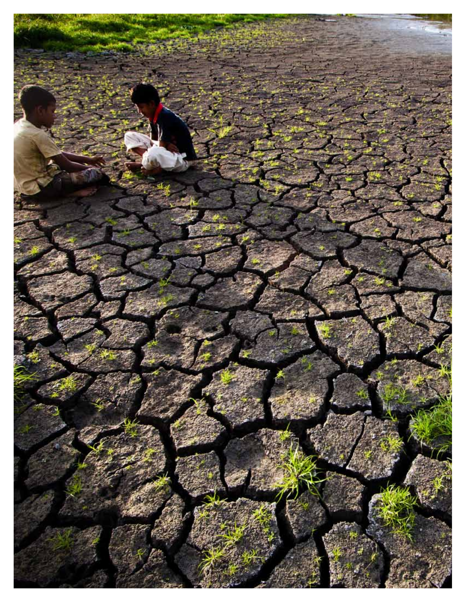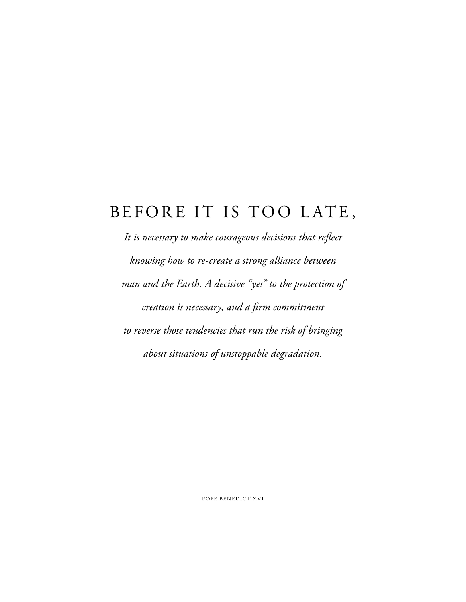# BEFORE IT IS TOO LATE,

*It is necessary to make courageous decisions that reflect knowing how to re-create a strong alliance between man and the Earth. A decisive "yes" to the protection of creation is necessary, and a firm commitment to reverse those tendencies that run the risk of bringing about situations of unstoppable degradation.*

POPE BENEDICT XVI